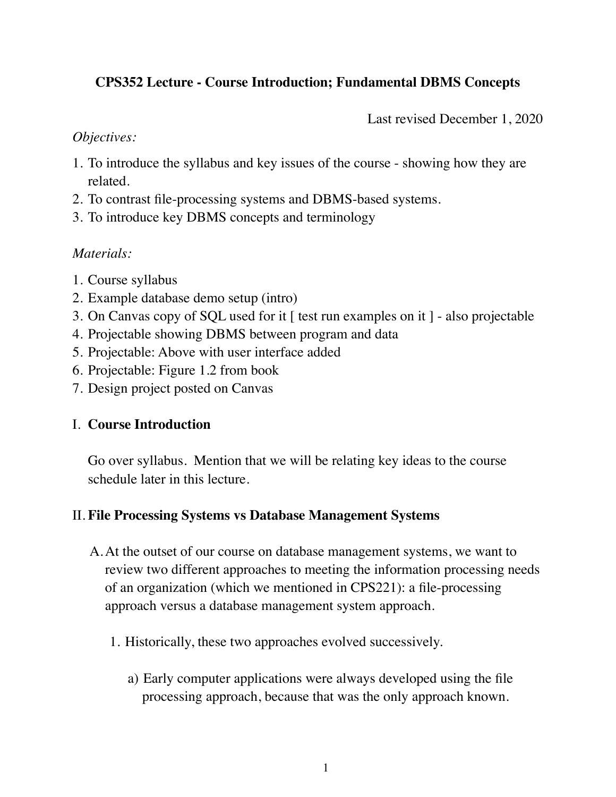# **CPS352 Lecture - Course Introduction; Fundamental DBMS Concepts**

Last revised December 1, 2020

#### *Objectives:*

- 1. To introduce the syllabus and key issues of the course showing how they are related.
- 2. To contrast file-processing systems and DBMS-based systems.
- 3. To introduce key DBMS concepts and terminology

## *Materials:*

- 1. Course syllabus
- 2. Example database demo setup (intro)
- 3. On Canvas copy of SQL used for it [ test run examples on it ] also projectable
- 4. Projectable showing DBMS between program and data
- 5. Projectable: Above with user interface added
- 6. Projectable: Figure 1.2 from book
- 7. Design project posted on Canvas

# I. **Course Introduction**

Go over syllabus. Mention that we will be relating key ideas to the course schedule later in this lecture.

## II. **File Processing Systems vs Database Management Systems**

- A.At the outset of our course on database management systems, we want to review two different approaches to meeting the information processing needs of an organization (which we mentioned in CPS221): a file-processing approach versus a database management system approach.
	- 1. Historically, these two approaches evolved successively.
		- a) Early computer applications were always developed using the file processing approach, because that was the only approach known.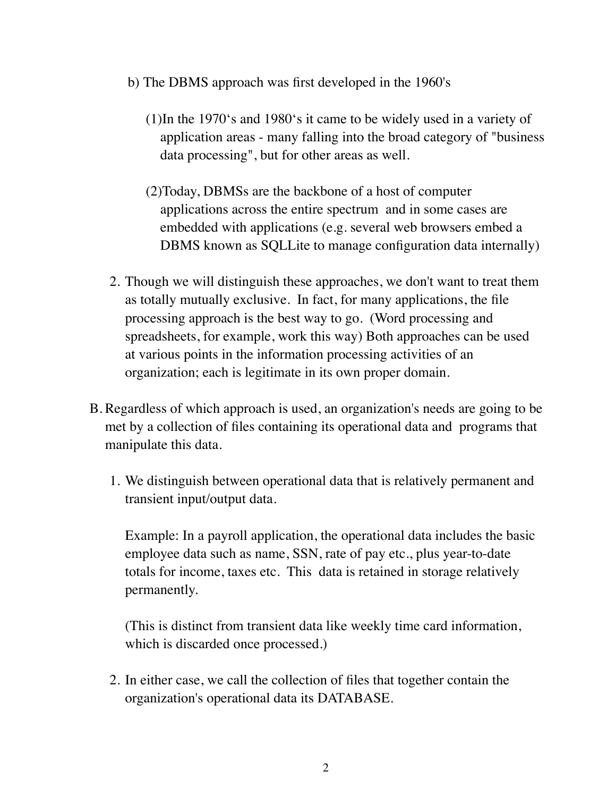- b) The DBMS approach was first developed in the 1960's
	- (1)In the 1970's and 1980's it came to be widely used in a variety of application areas - many falling into the broad category of "business data processing", but for other areas as well.
	- (2)Today, DBMSs are the backbone of a host of computer applications across the entire spectrum and in some cases are embedded with applications (e.g. several web browsers embed a DBMS known as SQLLite to manage configuration data internally)
- 2. Though we will distinguish these approaches, we don't want to treat them as totally mutually exclusive. In fact, for many applications, the file processing approach is the best way to go. (Word processing and spreadsheets, for example, work this way) Both approaches can be used at various points in the information processing activities of an organization; each is legitimate in its own proper domain.
- B. Regardless of which approach is used, an organization's needs are going to be met by a collection of files containing its operational data and programs that manipulate this data.
	- 1. We distinguish between operational data that is relatively permanent and transient input/output data.

Example: In a payroll application, the operational data includes the basic employee data such as name, SSN, rate of pay etc., plus year-to-date totals for income, taxes etc. This data is retained in storage relatively permanently.

(This is distinct from transient data like weekly time card information, which is discarded once processed.)

2. In either case, we call the collection of files that together contain the organization's operational data its DATABASE.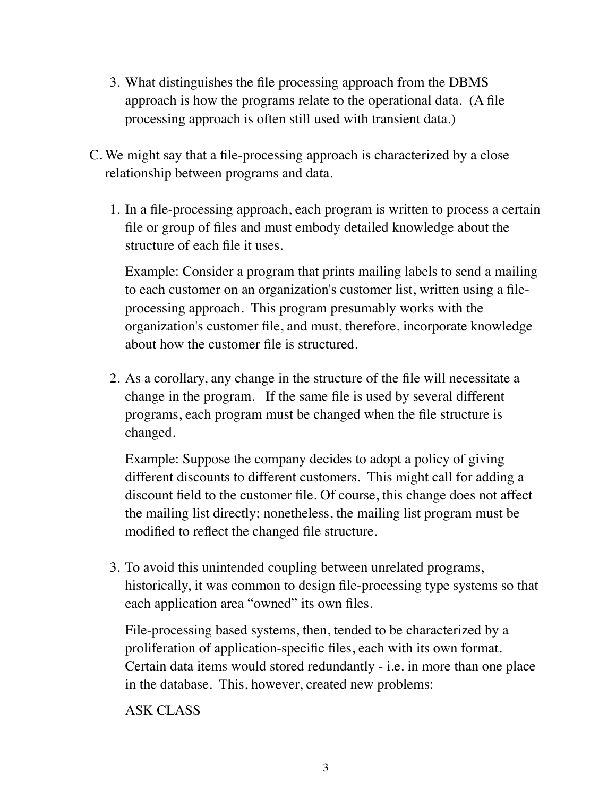- 3. What distinguishes the file processing approach from the DBMS approach is how the programs relate to the operational data. (A file processing approach is often still used with transient data.)
- C. We might say that a file-processing approach is characterized by a close relationship between programs and data.
	- 1. In a file-processing approach, each program is written to process a certain file or group of files and must embody detailed knowledge about the structure of each file it uses.

Example: Consider a program that prints mailing labels to send a mailing to each customer on an organization's customer list, written using a fileprocessing approach. This program presumably works with the organization's customer file, and must, therefore, incorporate knowledge about how the customer file is structured.

2. As a corollary, any change in the structure of the file will necessitate a change in the program. If the same file is used by several different programs, each program must be changed when the file structure is changed.

Example: Suppose the company decides to adopt a policy of giving different discounts to different customers. This might call for adding a discount field to the customer file. Of course, this change does not affect the mailing list directly; nonetheless, the mailing list program must be modified to reflect the changed file structure.

3. To avoid this unintended coupling between unrelated programs, historically, it was common to design file-processing type systems so that each application area "owned" its own files.

File-processing based systems, then, tended to be characterized by a proliferation of application-specific files, each with its own format. Certain data items would stored redundantly - i.e. in more than one place in the database. This, however, created new problems:

ASK CLASS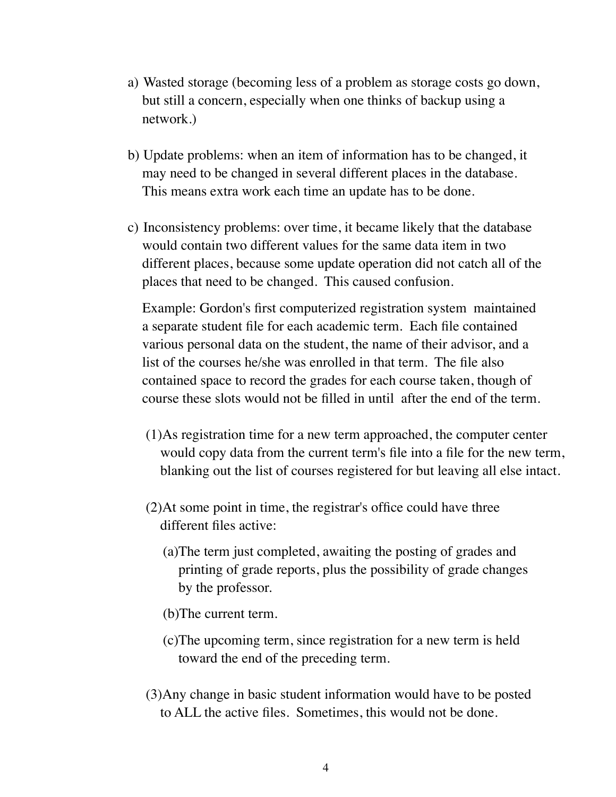- a) Wasted storage (becoming less of a problem as storage costs go down, but still a concern, especially when one thinks of backup using a network.)
- b) Update problems: when an item of information has to be changed, it may need to be changed in several different places in the database. This means extra work each time an update has to be done.
- c) Inconsistency problems: over time, it became likely that the database would contain two different values for the same data item in two different places, because some update operation did not catch all of the places that need to be changed. This caused confusion.

Example: Gordon's first computerized registration system maintained a separate student file for each academic term. Each file contained various personal data on the student, the name of their advisor, and a list of the courses he/she was enrolled in that term. The file also contained space to record the grades for each course taken, though of course these slots would not be filled in until after the end of the term.

- (1)As registration time for a new term approached, the computer center would copy data from the current term's file into a file for the new term, blanking out the list of courses registered for but leaving all else intact.
- (2)At some point in time, the registrar's office could have three different files active:
	- (a)The term just completed, awaiting the posting of grades and printing of grade reports, plus the possibility of grade changes by the professor.
	- (b)The current term.
	- (c)The upcoming term, since registration for a new term is held toward the end of the preceding term.
- (3)Any change in basic student information would have to be posted to ALL the active files. Sometimes, this would not be done.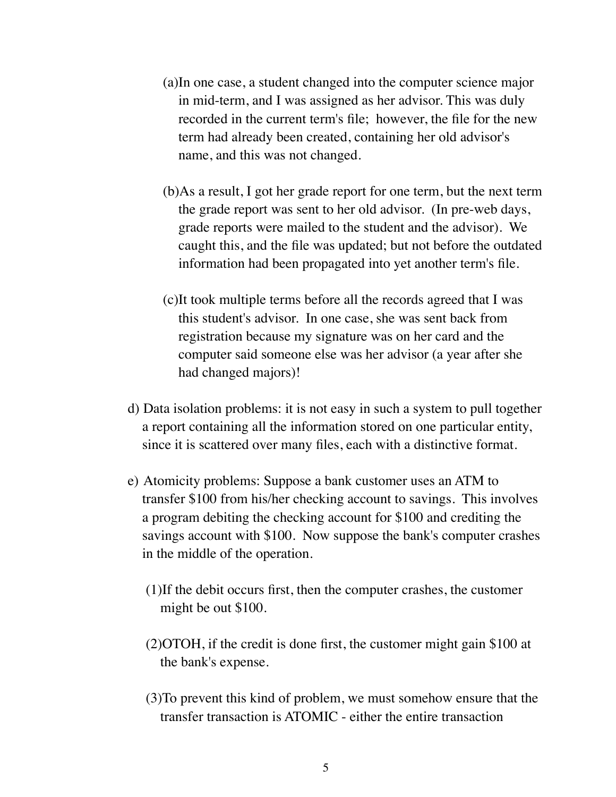- (a)In one case, a student changed into the computer science major in mid-term, and I was assigned as her advisor. This was duly recorded in the current term's file; however, the file for the new term had already been created, containing her old advisor's name, and this was not changed.
- (b)As a result, I got her grade report for one term, but the next term the grade report was sent to her old advisor. (In pre-web days, grade reports were mailed to the student and the advisor). We caught this, and the file was updated; but not before the outdated information had been propagated into yet another term's file.
- (c)It took multiple terms before all the records agreed that I was this student's advisor. In one case, she was sent back from registration because my signature was on her card and the computer said someone else was her advisor (a year after she had changed majors)!
- d) Data isolation problems: it is not easy in such a system to pull together a report containing all the information stored on one particular entity, since it is scattered over many files, each with a distinctive format.
- e) Atomicity problems: Suppose a bank customer uses an ATM to transfer \$100 from his/her checking account to savings. This involves a program debiting the checking account for \$100 and crediting the savings account with \$100. Now suppose the bank's computer crashes in the middle of the operation.
	- (1)If the debit occurs first, then the computer crashes, the customer might be out \$100.
	- (2)OTOH, if the credit is done first, the customer might gain \$100 at the bank's expense.
	- (3)To prevent this kind of problem, we must somehow ensure that the transfer transaction is ATOMIC - either the entire transaction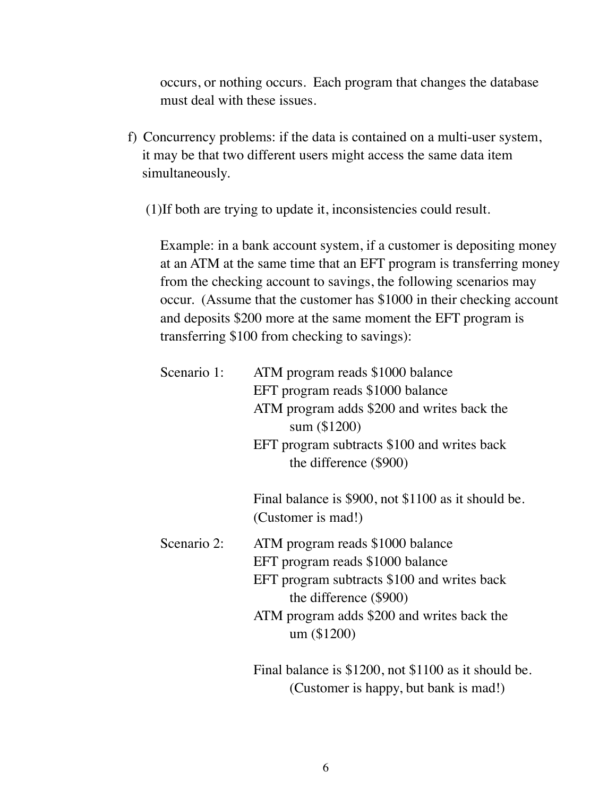occurs, or nothing occurs. Each program that changes the database must deal with these issues.

- f) Concurrency problems: if the data is contained on a multi-user system, it may be that two different users might access the same data item simultaneously.
	- (1)If both are trying to update it, inconsistencies could result.

Example: in a bank account system, if a customer is depositing money at an ATM at the same time that an EFT program is transferring money from the checking account to savings, the following scenarios may occur. (Assume that the customer has \$1000 in their checking account and deposits \$200 more at the same moment the EFT program is transferring \$100 from checking to savings):

| Scenario 1: | ATM program reads \$1000 balance<br>EFT program reads \$1000 balance<br>ATM program adds \$200 and writes back the<br>sum (\$1200)<br>EFT program subtracts \$100 and writes back<br>the difference (\$900) |  |  |
|-------------|-------------------------------------------------------------------------------------------------------------------------------------------------------------------------------------------------------------|--|--|
|             | Final balance is \$900, not \$1100 as it should be.<br>(Customer is mad!)                                                                                                                                   |  |  |
| Scenario 2: | ATM program reads \$1000 balance<br>EFT program reads \$1000 balance<br>EFT program subtracts \$100 and writes back<br>the difference (\$900)<br>ATM program adds \$200 and writes back the<br>um (\$1200)  |  |  |
|             | Final balance is \$1200, not \$1100 as it should be.<br>(Customer is happy, but bank is mad!)                                                                                                               |  |  |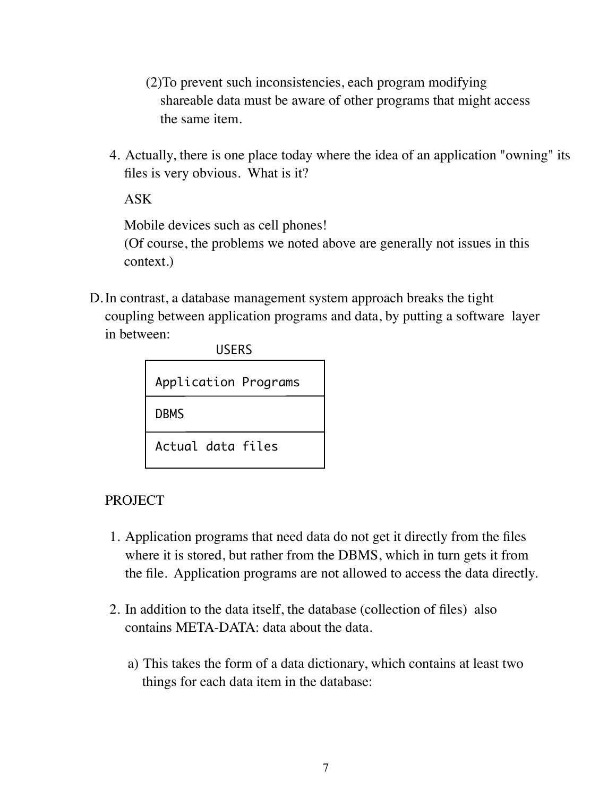(2)To prevent such inconsistencies, each program modifying shareable data must be aware of other programs that might access the same item.

4. Actually, there is one place today where the idea of an application "owning" its files is very obvious. What is it?

ASK

Mobile devices such as cell phones!

(Of course, the problems we noted above are generally not issues in this context.)

D.In contrast, a database management system approach breaks the tight coupling between application programs and data, by putting a software layer in between:

| <b>USERS</b>         |  |  |  |  |
|----------------------|--|--|--|--|
| Application Programs |  |  |  |  |
| <b>DBMS</b>          |  |  |  |  |
| Actual data files    |  |  |  |  |

**PROJECT** 

- 1. Application programs that need data do not get it directly from the files where it is stored, but rather from the DBMS, which in turn gets it from the file. Application programs are not allowed to access the data directly.
- 2. In addition to the data itself, the database (collection of files) also contains META-DATA: data about the data.
	- a) This takes the form of a data dictionary, which contains at least two things for each data item in the database: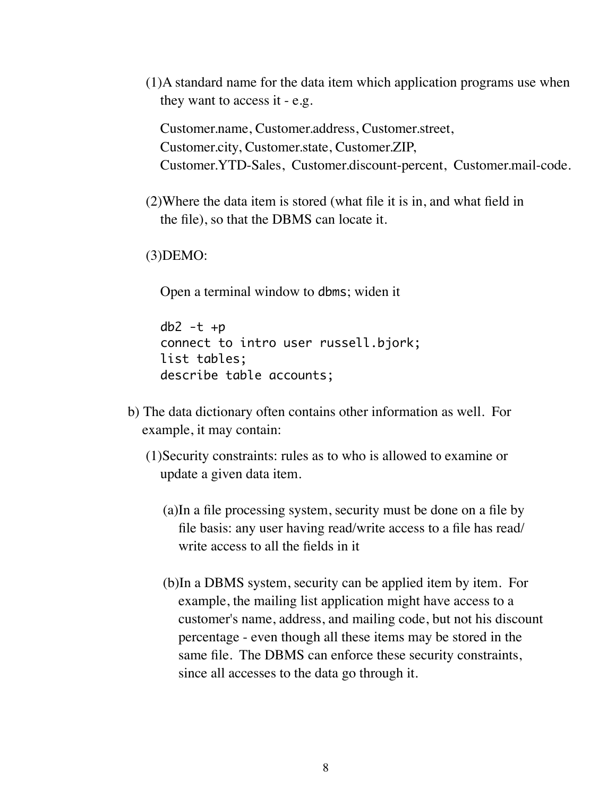(1)A standard name for the data item which application programs use when they want to access it - e.g.

Customer.name, Customer.address, Customer.street, Customer.city, Customer.state, Customer.ZIP, Customer.YTD-Sales, Customer.discount-percent, Customer.mail-code.

(2)Where the data item is stored (what file it is in, and what field in the file), so that the DBMS can locate it.

(3)DEMO:

Open a terminal window to dbms; widen it

```
db2 -t +p
connect to intro user russell.bjork;
list tables;
describe table accounts;
```
- b) The data dictionary often contains other information as well. For example, it may contain:
	- (1)Security constraints: rules as to who is allowed to examine or update a given data item.
		- (a)In a file processing system, security must be done on a file by file basis: any user having read/write access to a file has read/ write access to all the fields in it
		- (b)In a DBMS system, security can be applied item by item. For example, the mailing list application might have access to a customer's name, address, and mailing code, but not his discount percentage - even though all these items may be stored in the same file. The DBMS can enforce these security constraints, since all accesses to the data go through it.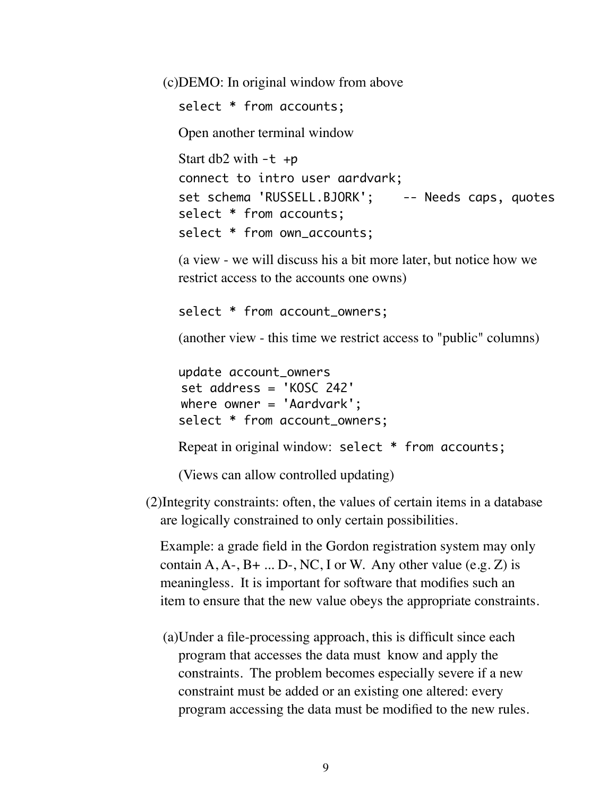(c)DEMO: In original window from above

select \* from accounts;

Open another terminal window

Start db2 with  $-t$  +p connect to intro user aardvark; set schema 'RUSSELL.BJORK'; -- Needs caps, quotes select \* from accounts; select \* from own\_accounts;

(a view - we will discuss his a bit more later, but notice how we restrict access to the accounts one owns)

select \* from account\_owners;

(another view - this time we restrict access to "public" columns)

```
update account_owners
set address = 'KOSC 242'
where owner = 'Aardvark';
select * from account_owners;
Repeat in original window: select * from accounts;
```
(Views can allow controlled updating)

(2)Integrity constraints: often, the values of certain items in a database are logically constrained to only certain possibilities.

Example: a grade field in the Gordon registration system may only contain  $A, A-, B+...$  D-, NC, I or W. Any other value (e.g. Z) is meaningless. It is important for software that modifies such an item to ensure that the new value obeys the appropriate constraints.

(a)Under a file-processing approach, this is difficult since each program that accesses the data must know and apply the constraints. The problem becomes especially severe if a new constraint must be added or an existing one altered: every program accessing the data must be modified to the new rules.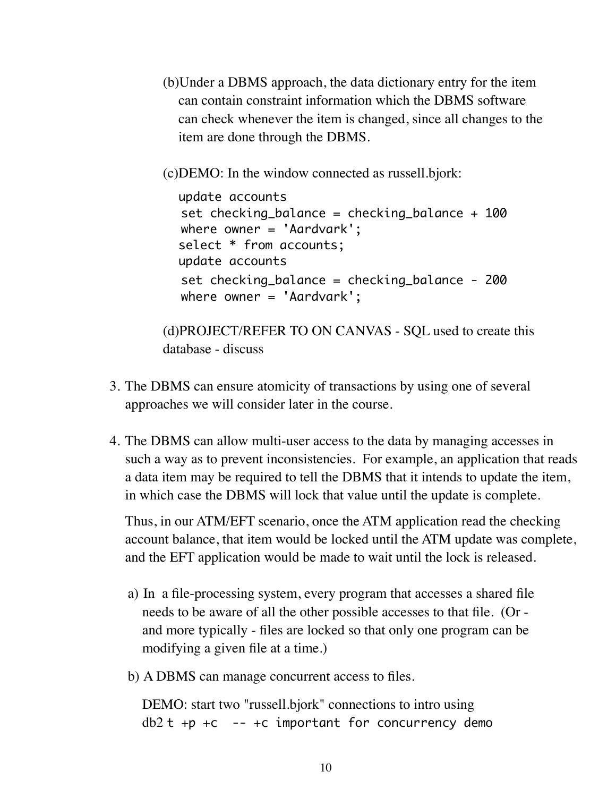(b)Under a DBMS approach, the data dictionary entry for the item can contain constraint information which the DBMS software can check whenever the item is changed, since all changes to the item are done through the DBMS.

(c)DEMO: In the window connected as russell.bjork:

```
update accounts
set checking_balance = checking_balance + 100
where owner = 'Aardvark';
select * from accounts;
update accounts
set checking_balance = checking_balance - 200
where owner = 'Aardvark';
```
(d)PROJECT/REFER TO ON CANVAS - SQL used to create this database - discuss

- 3. The DBMS can ensure atomicity of transactions by using one of several approaches we will consider later in the course.
- 4. The DBMS can allow multi-user access to the data by managing accesses in such a way as to prevent inconsistencies. For example, an application that reads a data item may be required to tell the DBMS that it intends to update the item, in which case the DBMS will lock that value until the update is complete.

Thus, in our ATM/EFT scenario, once the ATM application read the checking account balance, that item would be locked until the ATM update was complete, and the EFT application would be made to wait until the lock is released.

- a) In a file-processing system, every program that accesses a shared file needs to be aware of all the other possible accesses to that file. (Or and more typically - files are locked so that only one program can be modifying a given file at a time.)
- b) A DBMS can manage concurrent access to files.

DEMO: start two "russell.bjork" connections to intro using  $db2 t +p +c$  -- +c important for concurrency demo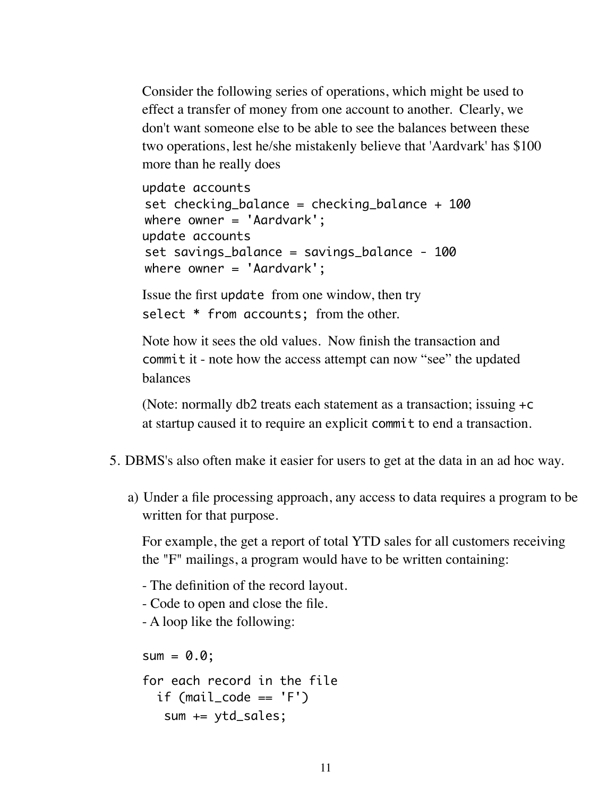Consider the following series of operations, which might be used to effect a transfer of money from one account to another. Clearly, we don't want someone else to be able to see the balances between these two operations, lest he/she mistakenly believe that 'Aardvark' has \$100 more than he really does

```
update accounts
set checking_balance = checking_balance + 100
where owner = 'Aardvark';
update accounts
set savings_balance = savings_balance - 100
where owner = 'Aardvark';
```
Issue the first update from one window, then try select \* from accounts; from the other.

Note how it sees the old values. Now finish the transaction and commit it - note how the access attempt can now "see" the updated balances

(Note: normally db2 treats each statement as a transaction; issuing +c at startup caused it to require an explicit commit to end a transaction.

- 5. DBMS's also often make it easier for users to get at the data in an ad hoc way.
	- a) Under a file processing approach, any access to data requires a program to be written for that purpose.

For example, the get a report of total YTD sales for all customers receiving the "F" mailings, a program would have to be written containing:

- The definition of the record layout.
- Code to open and close the file.
- A loop like the following:

 $sum = 0.0;$ 

```
for each record in the file
  if (mail_code == 'F') sum += ytd_sales;
```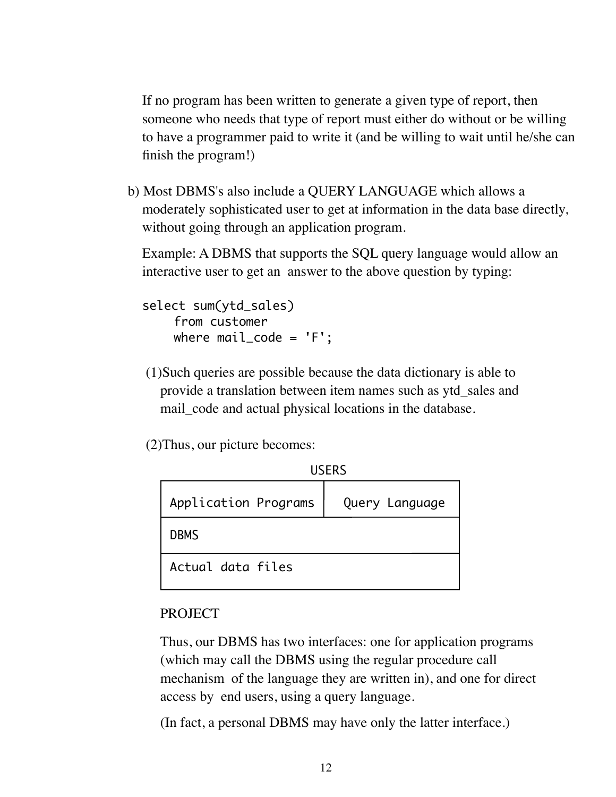If no program has been written to generate a given type of report, then someone who needs that type of report must either do without or be willing to have a programmer paid to write it (and be willing to wait until he/she can finish the program!)

b) Most DBMS's also include a QUERY LANGUAGE which allows a moderately sophisticated user to get at information in the data base directly, without going through an application program.

Example: A DBMS that supports the SQL query language would allow an interactive user to get an answer to the above question by typing:

select sum(ytd\_sales) from customer where  $mail\_code = 'F':$ 

(1)Such queries are possible because the data dictionary is able to provide a translation between item names such as ytd\_sales and mail\_code and actual physical locations in the database.

(2)Thus, our picture becomes:

|  |  | -rnc<br>כיוחרט |
|--|--|----------------|
|  |  |                |

| Application Programs | Query Language |  |  |
|----------------------|----------------|--|--|
| <b>DBMS</b>          |                |  |  |
| Actual data files    |                |  |  |

### PROJECT

Thus, our DBMS has two interfaces: one for application programs (which may call the DBMS using the regular procedure call mechanism of the language they are written in), and one for direct access by end users, using a query language.

(In fact, a personal DBMS may have only the latter interface.)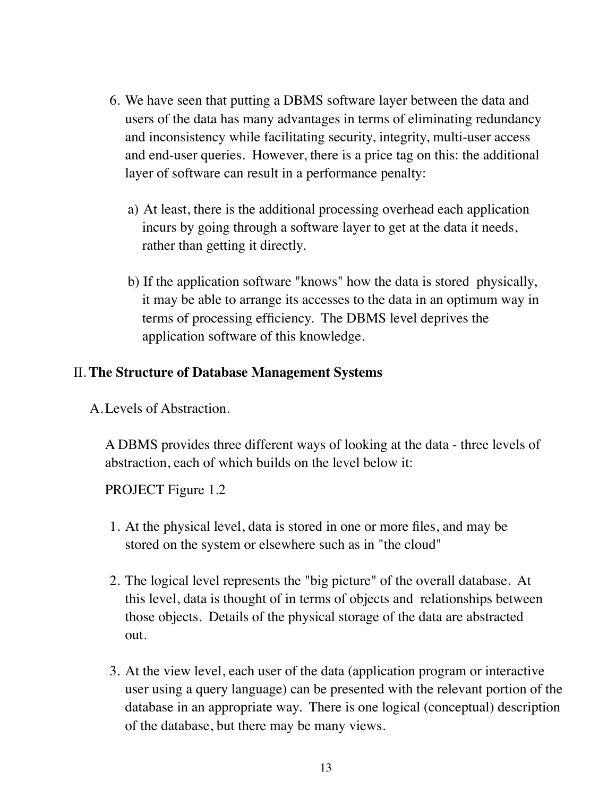- 6. We have seen that putting a DBMS software layer between the data and users of the data has many advantages in terms of eliminating redundancy and inconsistency while facilitating security, integrity, multi-user access and end-user queries. However, there is a price tag on this: the additional layer of software can result in a performance penalty:
	- a) At least, there is the additional processing overhead each application incurs by going through a software layer to get at the data it needs, rather than getting it directly.
	- b) If the application software "knows" how the data is stored physically, it may be able to arrange its accesses to the data in an optimum way in terms of processing efficiency. The DBMS level deprives the application software of this knowledge.

### II. **The Structure of Database Management Systems**

A.Levels of Abstraction.

A DBMS provides three different ways of looking at the data - three levels of abstraction, each of which builds on the level below it:

PROJECT Figure 1.2

- 1. At the physical level, data is stored in one or more files, and may be stored on the system or elsewhere such as in "the cloud"
- 2. The logical level represents the "big picture" of the overall database. At this level, data is thought of in terms of objects and relationships between those objects. Details of the physical storage of the data are abstracted out.
- 3. At the view level, each user of the data (application program or interactive user using a query language) can be presented with the relevant portion of the database in an appropriate way. There is one logical (conceptual) description of the database, but there may be many views.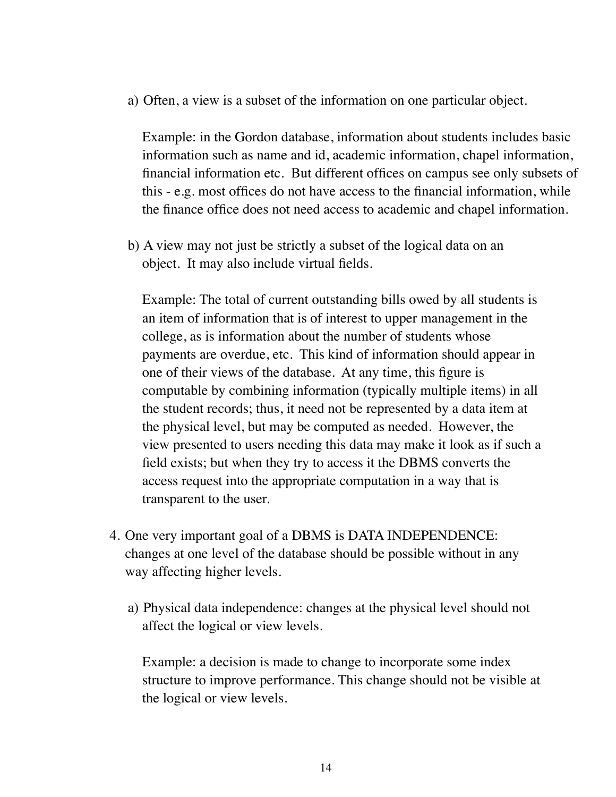a) Often, a view is a subset of the information on one particular object.

Example: in the Gordon database, information about students includes basic information such as name and id, academic information, chapel information, financial information etc. But different offices on campus see only subsets of this - e.g. most offices do not have access to the financial information, while the finance office does not need access to academic and chapel information.

b) A view may not just be strictly a subset of the logical data on an object. It may also include virtual fields.

Example: The total of current outstanding bills owed by all students is an item of information that is of interest to upper management in the college, as is information about the number of students whose payments are overdue, etc. This kind of information should appear in one of their views of the database. At any time, this figure is computable by combining information (typically multiple items) in all the student records; thus, it need not be represented by a data item at the physical level, but may be computed as needed. However, the view presented to users needing this data may make it look as if such a field exists; but when they try to access it the DBMS converts the access request into the appropriate computation in a way that is transparent to the user.

- 4. One very important goal of a DBMS is DATA INDEPENDENCE: changes at one level of the database should be possible without in any way affecting higher levels.
	- a) Physical data independence: changes at the physical level should not affect the logical or view levels.

Example: a decision is made to change to incorporate some index structure to improve performance. This change should not be visible at the logical or view levels.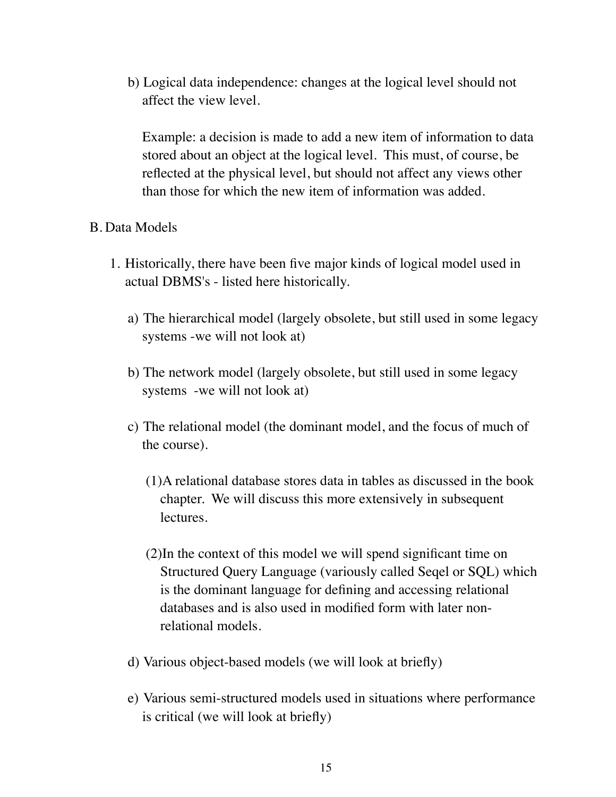b) Logical data independence: changes at the logical level should not affect the view level.

Example: a decision is made to add a new item of information to data stored about an object at the logical level. This must, of course, be reflected at the physical level, but should not affect any views other than those for which the new item of information was added.

#### B. Data Models

- 1. Historically, there have been five major kinds of logical model used in actual DBMS's - listed here historically.
	- a) The hierarchical model (largely obsolete, but still used in some legacy systems -we will not look at)
	- b) The network model (largely obsolete, but still used in some legacy systems -we will not look at)
	- c) The relational model (the dominant model, and the focus of much of the course).
		- (1)A relational database stores data in tables as discussed in the book chapter. We will discuss this more extensively in subsequent lectures.
		- (2)In the context of this model we will spend significant time on Structured Query Language (variously called Seqel or SQL) which is the dominant language for defining and accessing relational databases and is also used in modified form with later nonrelational models.
	- d) Various object-based models (we will look at briefly)
	- e) Various semi-structured models used in situations where performance is critical (we will look at briefly)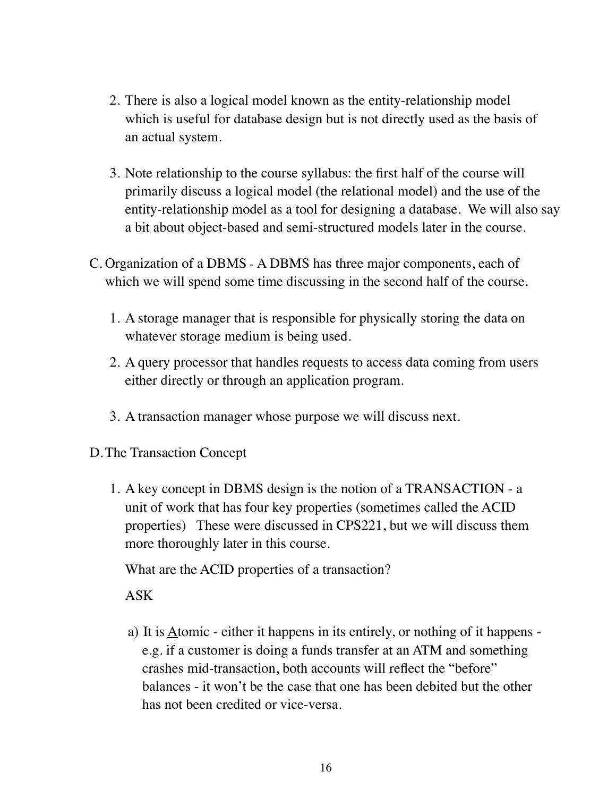- 2. There is also a logical model known as the entity-relationship model which is useful for database design but is not directly used as the basis of an actual system.
- 3. Note relationship to the course syllabus: the first half of the course will primarily discuss a logical model (the relational model) and the use of the entity-relationship model as a tool for designing a database. We will also say a bit about object-based and semi-structured models later in the course.
- C. Organization of a DBMS A DBMS has three major components, each of which we will spend some time discussing in the second half of the course.
	- 1. A storage manager that is responsible for physically storing the data on whatever storage medium is being used.
	- 2. A query processor that handles requests to access data coming from users either directly or through an application program.
	- 3. A transaction manager whose purpose we will discuss next.
- D.The Transaction Concept
	- 1. A key concept in DBMS design is the notion of a TRANSACTION a unit of work that has four key properties (sometimes called the ACID properties) These were discussed in CPS221, but we will discuss them more thoroughly later in this course.

What are the ACID properties of a transaction?

ASK

a) It is Atomic - either it happens in its entirely, or nothing of it happens e.g. if a customer is doing a funds transfer at an ATM and something crashes mid-transaction, both accounts will reflect the "before" balances - it won't be the case that one has been debited but the other has not been credited or vice-versa.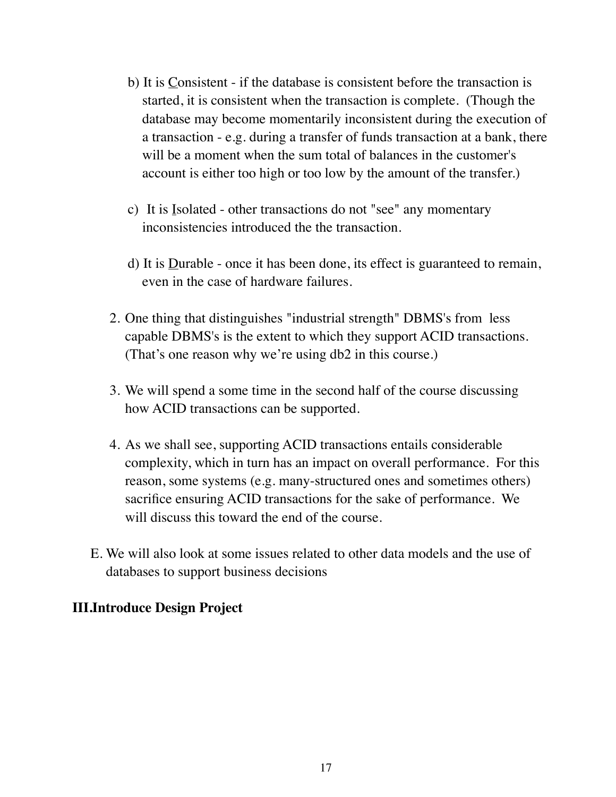- b) It is Consistent if the database is consistent before the transaction is started, it is consistent when the transaction is complete. (Though the database may become momentarily inconsistent during the execution of a transaction - e.g. during a transfer of funds transaction at a bank, there will be a moment when the sum total of balances in the customer's account is either too high or too low by the amount of the transfer.)
- c) It is Isolated other transactions do not "see" any momentary inconsistencies introduced the the transaction.
- d) It is **Durable** once it has been done, its effect is guaranteed to remain, even in the case of hardware failures.
- 2. One thing that distinguishes "industrial strength" DBMS's from less capable DBMS's is the extent to which they support ACID transactions. (That's one reason why we're using db2 in this course.)
- 3. We will spend a some time in the second half of the course discussing how ACID transactions can be supported.
- 4. As we shall see, supporting ACID transactions entails considerable complexity, which in turn has an impact on overall performance. For this reason, some systems (e.g. many-structured ones and sometimes others) sacrifice ensuring ACID transactions for the sake of performance. We will discuss this toward the end of the course.
- E. We will also look at some issues related to other data models and the use of databases to support business decisions

### **III.Introduce Design Project**